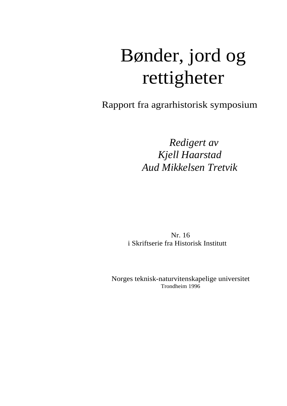# Bønder, jord og rettigheter

Rapport fra agrarhistorisk symposium

*Redigert av Kjell Haarstad Aud Mikkelsen Tretvik* 

Nr. 16 i Skriftserie fra Historisk Institutt

Norges teknisk-naturvitenskapelige universitet Trondheim 1996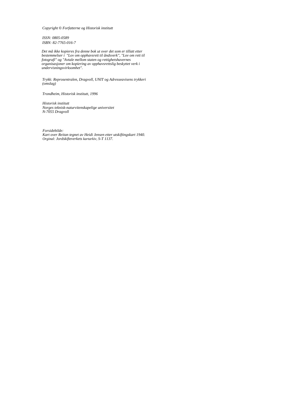*Copyright* © *Forfatterne og Historisk institutt* 

*ISSN: 0805-0589 ISBN: 82-7765-016-7* 

*Det må ikke kopieres fra denne bok ut over det som er tillatt etter bestemmelser i "Lov om opphavsrett til åndsverk", "Lov om rett til fotografi" og "Avtale mellom staten og rettighetshavernes organisasjoner om kopiering av opphavsrettslig beskyttet verk i undervisningsvirksomhet".* 

*Trykk: Reprosentralen, Dragvoll, UNIT og Adresseavisens trykkeri (omslag)* 

*Trondheim, Historisk institutt, 1996* 

*Historisk institutt Norges teknisk-naturvitenskapelige universitet N-7055 Dragvoll* 

*Forsidebilde: Kart over Reitan tegnet av Heidi Jensen etter utskiftingskart 1940. Orginal: Jordskifteverkets kartarkiv, S-T 1137.*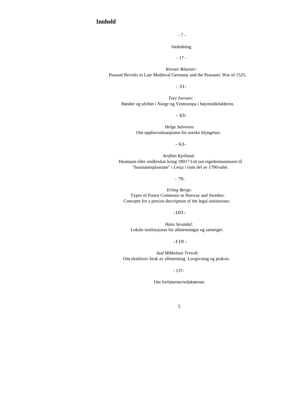# **Innhold**

- 7 -

Innledning

- 17 -

*Werner Rösener:*  Peasant Revolts in Late Medieval Germany and the Peasants' War of 1525.

- 31-

*Tore Iversen:*  Bønder og ufrihet i Norge og Vesteuropa i høymiddelalderen.

- 43-

*Helge Salvesen:*  Om opphavssituasjonen for norske klyngetun.

- 63-

*Arnfinn Kjelland:*  Husmann eller småbrukar kring 1801? Litt om eigedomsstatusen til "husmannsplassane" i Lesja i siste del av 1700-talet.

- 79-

*Erling Berge:*  Types of Forest Commons in Norway and Sweden: Concepts for a precise description of the legal institutions.

-101-

*Hans Sevatdal:*  Lokale institusjonar for allmenningar og sameiger.

 $-119-$ 

*Aud Mikkelsen Tretvik:*  Om eksklusiv bruk av allmenning. Lovgivning og praksis.

- 137-

Om forfatterne/redaktørene.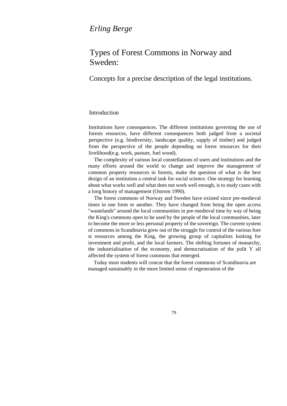# *Erling Berge*

# Types of Forest Commons in Norway and Sweden:

Concepts for a precise description of the legal institutions.

# Introduction

Institutions have consequences. The different institutions governing the use of forests resources, have different consequences both judged from a societal perspective (e.g. biodiversity, landscape quality, supply of timber) and judged from the perspective of the people depending on forest resources for their livelihood(e.g. work, pasture, fuel wood).

The complexity of various local constellations of users and institutions and the many efforts around the world to change and improve the management of common property resources in forests, make the question of what is the best design of an institution a central task for social science. One strategy for learning about what works well and what does not work well enough, is to study cases with a long history of management (Ostrom 1990).

The forest commons of Norway and Sweden have existed since pre-medieval times in one form or another. They have changed from being the open access "wastelands" around the local communities in pre-medieval time by way of being the King's commons open to be used by the people of the local communities, later to become the more or less personal property of the sovereign. The current system of commons in Scandinavia grew out of the struggle for control of the various fore st resources among the King, the growing group of capitalists looking for investment and profit, and the local farmers. The shifting fortunes of monarchy, the industrialisation of the economy, and democratisation of the polit Y all affected the system of forest commons that emerged.

Today most students will concur that the forest commons of Scandinavia are managed sustainably in the more limited sense of regeneration of the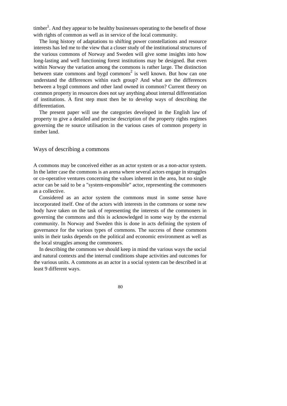$t$ timber<sup>1</sup>. And they appear to be healthy businesses operating to the benefit of those with rights of common as well as in service of the local community.

The long history of adaptations to shifting power constellations and resource interests has led me to the view that a closer study of the institutional structures of the various commons of Norway and Sweden will give some insights into how long-lasting and well functioning forest institutions may be designed. But even within Norway the variation among the commons is rather large. The distinction between state commons and bygd commons<sup>2</sup> is well known. But how can one understand the differences within each group? And what are the differences between a bygd commons and other land owned in common? Current theory on common property in resources does not say anything about internal differentiation of institutions. A first step must then be to develop ways of describing the differentiation.

The present paper will use the categories developed in the English law of property to give a detailed and precise description of the property rights regimes governing the re source utilisation in the various cases of common property in timber land.

#### Ways of describing a commons

A commons may be conceived either as an actor system or as a non-actor system. In the latter case the commons is an arena where several actors engage in struggles or co-operative ventures concerning the values inherent in the area, but no single actor can be said to be a "system-responsible" actor, representing the commoners as a collective.

Considered as an actor system the commons must in some sense have incorporated itself. One of the actors with interests in the commons or some new body have taken on the task of representing the interests of the commoners in governing the commons and this is acknowledged in some way by the external community. In Norway and Sweden this is done in acts defining the system of governance for the various types of commons. The success of these commons units in their tasks depends on the political and economic environment as well as the local struggles among the commoners.

In describing the commons we should keep in mind the various ways the social and natural contexts and the internal conditions shape activities and outcomes for the various units. A commons as an actor in a social system can be described in at least 9 different ways.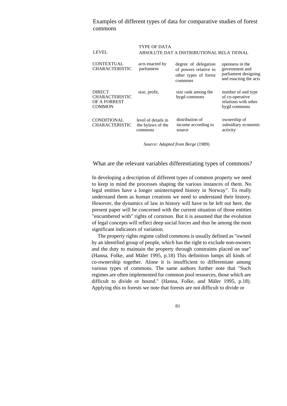Examples of different types of data for comparative studies of forest commons

| <b>LEVEL</b>                                                            | <b>TYPE OF DATA</b>                                 | ABSOLUTE DAT A DISTRIBUTIONAL RELA TIONAL                                         |                                                                                    |
|-------------------------------------------------------------------------|-----------------------------------------------------|-----------------------------------------------------------------------------------|------------------------------------------------------------------------------------|
| <b>CONTEXTUAL</b><br><b>CHARACTERISTIC</b>                              | acts enacted by<br>parliament                       | degree of delegation<br>of powers relative to<br>other types of forest<br>commons | openness in the<br>government and<br>parliament designing<br>and enacting the acts |
| <b>DIRECT</b><br><b>CHARACTERISTIC</b><br>OF A FORREST<br><b>COMMON</b> | size, profit,                                       | size rank among the<br>bygd commons                                               | number of and type<br>of co-operative<br>relations with other<br>bygd commons      |
| <b>CONDITIONAL</b><br><b>CHARACTERISTIC</b>                             | level of details in<br>the bylaws of the<br>commons | distribution of<br>income according to<br>source                                  | ownership of<br>subsidiary economic<br>activity                                    |

*Source: Adapted from Berge* (1989)

#### What are the relevant variables differentiating types of commons?

In developing a description of different types of common property we need to keep in mind the processes shaping the various instances of them. No legal entities have a longer uninterrupted history in Norway". To really understand them as human creations we need to understand their history. However, the dynamics of law in history will have to be left out here, the present paper will be concerned with the current situation of those entities "encumbered with" rights of cornrnon. But it is assumed that the evolution of legal concepts will reflect deep social forces and thus be among the most significant indicators of variation.

The property rights regime called commons is usually defined as "owned by an identified group of people, which has the right to exclude non-owners and the duty to maintain the property through constraints placed on use" (Hanna, Folke, and Mäler 1995, p.18) This definition lumps all kinds of co-ownership together. Alone it is insufficient to differentiate among various types of commons. The same authors further note that "Such regimes are often implemented for common pool resources, those which are difficult to divide or bound." (Hanna, Folke, and Mäler 1995, p.18). Applying this to forests we note that forests are not difficult to divide or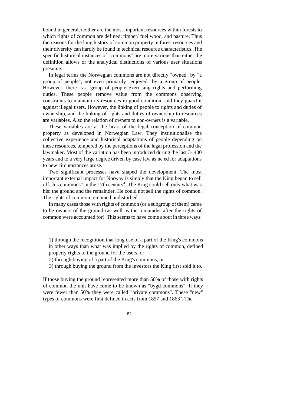bound in general, neither are the most important resources within forests to which rights of common are defined: timber/ fuel wood, and pasture. Thus the reasons for the long history of common property in forest resources and their diversity can hardly be found in technical resource characteristics. The specific historical instances of "commons" are more various than either the definition allows or the analytical distinctions of various user situations presume.

In legal terms the Norwegian commons are not directly "owned" by "a group of people", not even primarily "enjoyed" by a group of people. However, there is a group of people exercising rights and performing duties. These people remove value from the commons observing constraints to maintain its resources in good condition, and they guard it against illegal users. However, the linking of people to rights and duties of ownership, and the linking of rights and duties of ownership to resources are variables. Also the relation of owners to non-owners is a variable.

These variables are at the heart of the legal conception of common property as developed in Norwegian Law. They institutionalise the collective experience and historical adaptations of people depending on these resources, tempered by the perceptions of the legal profession and the lawmaker. Most of the variation has been introduced during the last 3- 400 years and to a very large degree driven by case law as ne ed for adaptations to new circumstances arose.

Two significant processes have shaped the development. The most important external impact for Norway is simply that the King began to sell off "his commons" in the 17th century<sup>4</sup>, The King could sell only what was his: the ground and the remainder. He could not sell the rights of common. The rights of common remained undisturbed.

In many cases those with rights of common (or a subgroup of them) came to be owners of the ground (as well as the remainder after the rights of common were accounted for). This seems to have come about in three ways:

1) through the recognition that long use of a part of the King's commons in other ways than what was implied by the rights of common, defined property rights to the ground for the users, or

- 2) through buying of a part of the King's commons, or
- 3) through buying the ground from the investors the King first sold it to.

If those buying the ground represented more than 50% of those with rights of common the unit have come to be known as "bygd commons". If they were fewer than 50% they were called "private commons". These "new" types of commons were first defined in acts from  $1857$  and  $1863<sup>5</sup>$ . The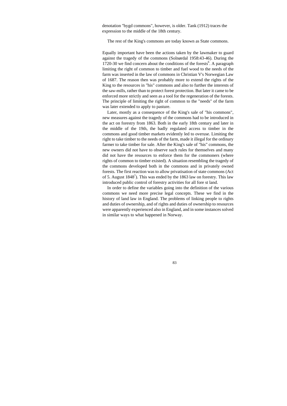denotation "bygd commons", however, is older. Tank (1912) traces the expression to the middle of the 18th century.

The rest of the King's commons are today known as State commons.

Equally important have been the actions taken by the lawmaker to guard against the tragedy of the commons (Solnørdal 1958:43-46). During the 1720-30 we find concern about the conditions of the forests<sup>6</sup>. A paragraph limiting the right of common to timber and fuel wood to the needs of the farm was inserted in the law of commons in Christian V's Norwegian Law of 1687. The reason then was probably more to extend the rights of the King to the resources in "his" commons and also to further the interests of the saw-mills, rather than to protect forest protection. But later it came to be enforced more strictly and seen as a tool for the regeneration of the forests. The principle of limiting the right of common to the "needs" of the farm was later extended to apply to pasture.

Later, mostly as a consequence of the King's sale of "his commons", new measures against the tragedy of the commons had to be introduced in the act on forestry from 1863. Both in the early 18th century and later in the middle of the 19th, the badly regulated access to timber in the commons and good timber markets evidently led to overuse. Limiting the right to take timber to the needs of the farm, made it illegal for the ordinary farmer to take timber for sale. After the King's sale of "his" commons, the new owners did not have to observe such rules for themselves and many did not have the resources to enforce them for the commoners (where rights of common to timber existed). A situation resembling the tragedy of the commons developed both in the commons and in privately owned forests. The first reaction was to allow privatisation of state commons (Act of 5. August 1848<sup>7</sup>). This was ended by the 1863 law on forestry. This law introduced public control of forestry activities for all fore st land.

In order to define the variables going into the definition of the various commons we need more precise legal concepts. These we find in the history of land law in England. The problems of linking people to rights and duties of ownership, and of rights and duties of ownership to resources were apparently experienced also in England, and in some instances solved in similar ways to what happened in Norway.

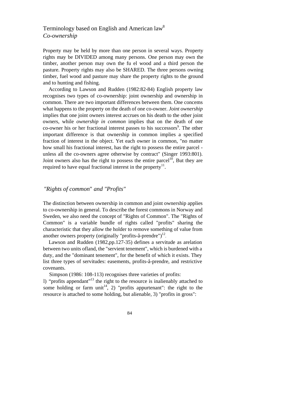# Terminology based on English and American law<sup>8</sup> *Co-ownership*

Property may be held by more than one person in several ways. Property rights may be DIVIDED among many persons. One person may own the timber, another person may own the fu el wood and a third person the pasture. Property rights may also be SHARED. The three persons owning timber, fuel wood and pasture may share the property rights to the ground and to hunting and fishing.

According to Lawson and Rudden (1982:82-84) English property law recognises two types of co-ownership: joint ownership and ownership in common. There are two important differences between them. One concems what happens to the property on the death of one co-owner. *Joint ownership*  implies that one joint owners interest accrues on his death to the other joint owners, while *ownership in common* implies that on the death of one co-owner his or her fractional interest passes to his successors<sup>9</sup>. The other important difference is that ownership in common implies a specified fraction of interest in the object. Yet each owner in common, "no matter how small his fractional interest, has the right to possess the entire parcel unless all the co-owners agree otherwise by contract" (Singer 1993:801). Joint owners also has the right to possess the entire parcel<sup>10</sup>, But they are required to have equal fractional interest in the property<sup>11</sup>.

# *"Rights of common*" *and "Profits"*

The distinction between ownership in common and joint ownership applies to co-ownership in general. To describe the forest commons in Norway and Sweden, we also need the concept of "Rights of Common". The "Rights of Common" is a variable bundle of rights called "profits" sharing the characteristic that they allow the holder to remove something of value from another owners property (originally "profits-å-prendre") $^{12}$ .

Lawson and Rudden (1982,pp.127-35) defines a servitude as arelation between two units ofland, the "servient tenement", which is burdened with a duty, and the "dominant tenement", for the benefit of which it exists. They list three types of servitudes: easements, profits-å-prendre, and restrictive covenants.

Simpson (1986: 108-113) recognises three varieties of profits:

l) "profits appendant"13 the right to the resource is inalienably attached to some holding or farm unit<sup>14</sup>, 2) "profits appurtenant": the right to the resource is attached to some holding, but alienable, 3) "profits in gross":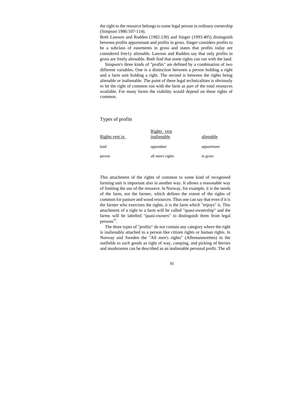the right to the resource belongs to some legal person in ordinary ownership (Simpson 1986:107-114).

Both Lawson and Rudden (1982:130) and Singer (1993:405) distinguish between profits appurtenant and profits in gross. Singer considers profits to be a subclass of easements in gross and states that profits today are considered free1y alienable. Lawson and Rudden say that only profits in gross are freely alienable. Both find that some rights can run with the land.

Simpson's three kinds of "profits" are defined by a combination of two different variables. One is a distinction between a person holding a right and a farm unit holding a right. The second is between the rights being alienable or inalienable. The point of these legal technicalities is obviously to let the right of common run with the farm as part of the total resources available. For many farms the viability would depend on these rights of common.

#### Types of profits

| Rights vest in | Rights vest<br>inalienable | alienable   |
|----------------|----------------------------|-------------|
| land           | appendant                  | appurtenant |
| person         | all men's rights           | in gross    |

This attachment of the rights of common to some kind of recognised farming unit is important also in another way. It allows a reasonable way of limiting the use of the resource. In Norway, for example, it is the needs of the farm, not the farmer, which defines the extent of the rights of common for pasture and wood resources. Thus one can say that even if it is the farmer who exercises the rights, it is the farm which "enjoys" it. This attachment of a right to a farm will be called "quasi-ownership" and the farms will be labelled "quasi-owners" to distinguish them from legal persons<sup>15</sup>.

The three types of "profits" do not contain any category where the right is inalienably attached to a person like citizen rights or human rights. In Norway and Sweden the "All men's rights" (Allemannsretten) in the outfields to such goods as right of way, camping, and picking of berries and mushrooms can be described as an inalienable personal profit. The all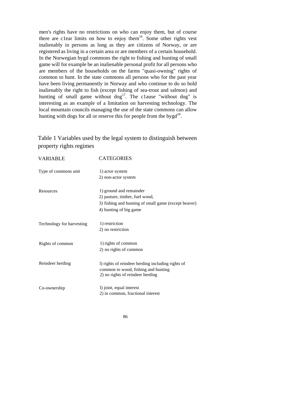men's rights have no restrictions on who can enjoy them, but of course there are c1ear limits on how to enjoy them<sup>16</sup>. Some other rights vest inalienably in persons as long as they are citizens of Norway, or are registered as living in a certain area or are members of a certain household. In the Norwegian bygd commons the right to fishing and hunting of small game will for example be an inalienable personal profit for all persons who are members of the households on the farms "quasi-owning" rights of common to hunt. In the state commons all persons who for the past year have been living permanently in Norway and who continue to do so hold inalienably the right to fish (except fishing of sea-trout and salmon) and hunting of small game without  $\log^{17}$ . The clause "without  $\log$ " is interesting as an example of a limitation on harvesting technology. The local mountain councils managing the use of the state commons can allow hunting with dogs for all or reserve this for people from the bygd<sup>18</sup>.

Table 1 Variables used by the legal system to distinguish between property rights regimes

| <b>VARIABLE</b>           | <b>CATEGORIES</b>                                    |
|---------------------------|------------------------------------------------------|
| Type of commons unit      | 1) actor system                                      |
|                           | 2) non-actor system                                  |
| Resources                 | 1) ground and remainder                              |
|                           | 2) pasture, timber, fuel wood,                       |
|                           | 3) fishing and hunting of small game (except beaver) |
|                           | 4) hunting of big game                               |
| Technology for harvesting | 1) restriction                                       |
|                           | 2) no restriction                                    |
| Rights of common          | 1) rights of common                                  |
|                           | 2) no rights of common                               |
| Reindeer herding          | I) rights of reindeer herding including rights of    |
|                           | common to wood, fishing and hunting                  |
|                           | 2) no rights of reindeer herding                     |
| Co-ownership              | l) joint, equal interest                             |
|                           | 2) in common, fractional interest                    |
|                           |                                                      |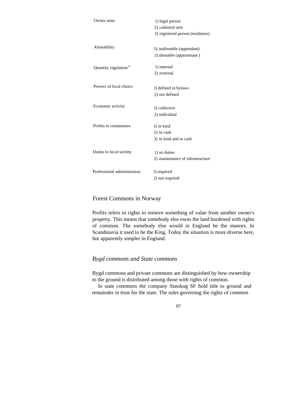| Owner units                       | 1) legal person                  |
|-----------------------------------|----------------------------------|
|                                   | 2) cadastral unit                |
|                                   | 3) registered person (residence) |
|                                   |                                  |
| Alienability                      | 1) inalienable (appendant)       |
|                                   | 2) alienable (appurtenant)       |
|                                   | 1) internal                      |
| Quantity regulation <sup>19</sup> | 2) external                      |
|                                   |                                  |
| Powers of local choice            | l) defined in bylaws             |
|                                   | 2) not defined                   |
|                                   |                                  |
| Economic activity                 | 1) collective                    |
|                                   | 2) individual                    |
| Profits to commoners              | 1) in kind                       |
|                                   | 2) in cash                       |
|                                   | 3) in kind and in cash           |
|                                   |                                  |
| Duties to local society           | 1) no duties                     |
|                                   | 2) maintenance of infrastructure |
|                                   |                                  |
| Professional administration       | l) required                      |
|                                   | 2) not required                  |

# Forest Commons in Norway

Profits refers to rights to remove something of value from another owner's property. This means that somebody else owns the land burdened with rights of common. The somebody else would in England be the manors. In Scandinavia it used to be the King. Today the situation is more diverse here, but apparently simpler in England.

# *Bygd commons and State commons*

Bygd commons and private commons are distinguished by how ownership to the ground is distributed among those with rights of common.

In state commons the company Statskog SF hold title to ground and remainder in trust for the state. The rules governing the rights of common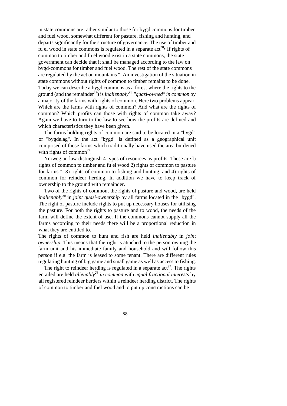in state commons are rather similar to those for bygd commons for timber and fuel wood, somewhat different for pasture, fishing and hunting, and departs significantly for the structure of governance. The use of timber and fu el wood in state commons is regulated in a separate  $\text{act}^{20}$  If rights of common to timber and fu el wood exist in a state commons, the state government can decide that it shall be managed according to the law on bygd-commons for timber and fuel wood. The rest of the state commons are regulated by the act on mountains ". An investigation of the situation in state commons without rights of common to timber remains to be done. Today we can describe a bygd commons as a forest where the rights to the ground (and the remainder<sup>22</sup>) is *inalienably*<sup>23</sup> "quasi-owned" in common by a majority of the farms with rights of common. Here two problems appear: Which are the farms with rights of common? And what are the rights of common? Which profits can those with rights of common take away? Again we have to turn to the law to see how the profits are defined and which characteristics they have been given.

The farms holding rights of common are said to be located in a "bygd" or "bygdelag". In the act "bygd" is defined as a geographical unit comprised of those farms which traditionally have used the area burdened with rights of common<sup>24</sup>.

Norwegian law distinguish 4 types of resources as profits. These are l) rights of common to timber and fu el wood 2) rights of common to pasture for farms ", 3) rights of common to fishing and hunting, and 4) rights of common for reindeer herding. In addition we have to keep track of ownership to the ground with remainder.

Two of the rights of common, the rights of pasture and wood, are held *inalienably'"* in *joint quasi-ownership* by all farms located in the "bygd". The right of pasture include rights to put up necessary houses for utilising the pasture. For both the rights to pasture and to wood, the needs of the farm will define the extent of use. If the commons cannot supply all the farms according to their needs there will be a proportional reduction in what they are entitled to.

The rights of common to hunt and fish are held *inalienably* in *joint ownership.* This means that the right is attached to the person owning the farm unit and his immediate family and household and will follow this person if e.g. the farm is leased to some tenant. There are different rules regulating hunting of big game and small game as well as access to fishing.

The right to reindeer herding is regulated in a separate  $\arctan 27$ . The rights entailed are held *alienably28 in common* with *equal fractional interests* by all registered reindeer herders within a reindeer herding district. The rights of common to timber and fuel wood and to put up constructions can be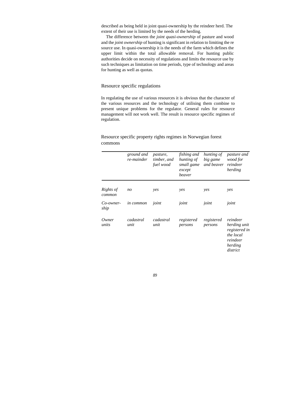described as being held in joint quasi-ownership by the reindeer herd. The extent of their use is limited by the needs of the herding.

The difference between the *joint quasi-ownership* of pasture and wood and the *joint ownership* of hunting is significant in relation to limiting the re source use. In quasi-ownership it is the needs of the farm which defines the upper limit within the total allowable removal. For hunting public authorities decide on necessity of regulations and limits the resource use by such techniques as limitation on time periods, type of technology and areas for hunting as well as quotas.

#### Resource specific regulations

In regulating the use of various resources it is obvious that the character of the various resources and the technology of utilising them combine to present unique problems for the regulator. General rules for resource management will not work well. The result is resource specific regimes of regulation.

|                     | ground and<br>re-mainder | pasture,<br>timber, and<br>fuel wood | fishing and<br>hunting of<br>small game<br>except<br>beaver | hunting of<br>big game<br>and beaver | <i>pasture and</i><br>wood for<br>reindeer<br>herding                                     |
|---------------------|--------------------------|--------------------------------------|-------------------------------------------------------------|--------------------------------------|-------------------------------------------------------------------------------------------|
| Rights of<br>common | n <sub>O</sub>           | yes                                  | yes                                                         | yes                                  | yes                                                                                       |
| Co-owner-<br>ship   | <i>in common</i>         | joint                                | joint                                                       | joint                                | joint                                                                                     |
| Owner<br>units      | cadastral<br>unit        | cadastral<br>unit                    | registered<br>persons                                       | registered<br>persons                | reindeer<br>herding unit<br>registered in<br>the local<br>reindeer<br>herding<br>district |

#### Resource specific property rights regimes in Norwegian forest commons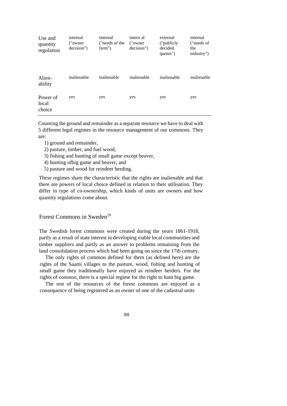| Use and<br>quantity<br>regulation | internal<br>("owner")<br>decision") | internal<br>("needs of the<br>farm") | intern al<br>("owner")<br>decision") | external<br>("publicly")<br>decided<br>quotas") | internal<br>("needs of<br>the<br>industry") |
|-----------------------------------|-------------------------------------|--------------------------------------|--------------------------------------|-------------------------------------------------|---------------------------------------------|
| Alien-<br>ability                 | inalienable                         | inalienable                          | inalienable                          | inalienable                                     | inalienable                                 |
| Power of<br>local<br>choice       | yes                                 | yes                                  | yes                                  | yes                                             | yes                                         |

Counting the ground and remainder as a separate resource we have to deal with 5 different legal regimes in the resource management of our commons. They are:

- 1) ground and remainder,
- 2) pasture, timber, and fuel wood,
- 3) fishing and hunting of small game except beaver,
- 4) hunting ofbig game and beaver, and
- 5) pasture and wood for reindeer herding.

These regimes share the characteristic that the rights are inalienable and that there are powers of local choice defined in relation to their utilisation. They differ in type of co-ownership, which kinds of units are owners and how quantity regulations come about.

Forest Commons in Sweden<sup>29</sup>

The Swedish forest commons were created during the years 1861-1918, partly as a result of state interest in developing viable local communities and timber suppliers and partly as an answer to problems remaining from the land consolidation process which had been going on since the 17th century.

The only rights of common defined for them (as defined here) are the rights of the Saami villages to the pasture, wood, fishing and hunting of small game they traditionally have enjoyed as reindeer herders. For the rights of common, there is a special regime for the right to hunt big game.

The rest of the resources of the forest commons are enjoyed as a consequence of being registered as an owner of one of the cadastral units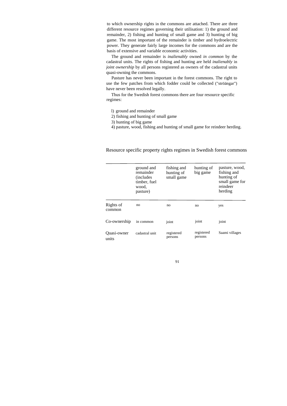to which ownership rights in the commons are attached. There are three different resource regimes governing their utilisation: 1) the ground and remainder, 2) fishing and hunting of small game and 3) hunting of big game. The most important of the remainder is timber and hydroelectric power. They generate fairly large incomes for the commons and are the basis of extensive and variable economic activities.

The ground and remainder is *inalienably* owned *in common* by the cadastral units. The rights of fishing and hunting are held *inalienably* in *joint ownership* by all persons registered as owners of the cadastral units quasi-owning the commons.

Pasture has never been important in the forest commons. The right to use the few patches from which fodder could be collected ("ströängar") have never been resolved legally.

Thus for the Swedish forest commons there are four resource specific regimes:

- l) ground and remainder
- 2) fishing and hunting of small game
- 3) hunting of big game
- 4) pasture, wood, fishing and hunting of small game for reindeer herding.

Resource specific property rights regimes in Swedish forest commons

|                      | ground and<br>remainder<br><i>(includes)</i><br>timber, fuel<br>wood,<br>pasture) | fishing and<br>hunting of<br>small game | hunting of<br>big game | pasture, wood,<br>fishing and<br>hunting of<br>small game for<br>reindeer<br>herding |
|----------------------|-----------------------------------------------------------------------------------|-----------------------------------------|------------------------|--------------------------------------------------------------------------------------|
| Rights of<br>common  | no                                                                                | no                                      | no                     | yes                                                                                  |
| Co-ownership         | in common                                                                         | joint                                   | joint                  | joint                                                                                |
| Quasi-owner<br>units | cadastral unit                                                                    | registered<br>persons                   | registered<br>persons  | Saami villages                                                                       |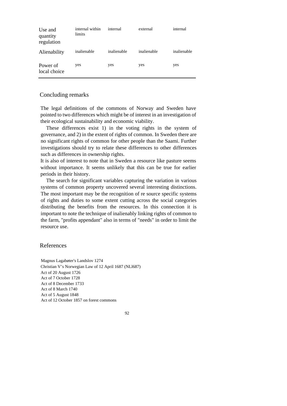| Use and<br>quantity<br>regulation | internal within<br>limits | internal    | external    | internal    |
|-----------------------------------|---------------------------|-------------|-------------|-------------|
| Alienability                      | inalienable               | inalienable | inalienable | inalienable |
| Power of<br>local choice          | yes                       | yes         | yes         | yes         |

## Concluding remarks

The legal definitions of the commons of Norway and Sweden have pointed to two differences which might be of interest in an investigation of their ecological sustainability and economic viability.

These differences exist 1) in the voting rights in the system of governance, and 2) in the extent of rights of common. In Sweden there are no significant rights of common for other people than the Saami. Further investigations should try to relate these differences to other differences such as differences in ownership rights.

It is also of interest to note that in Sweden a resource like pasture seems without importance. It seems unlikely that this can be true for earlier periods in their history.

The search for significant variables capturing the variation in various systems of common property uncovered several interesting distinctions. The most important may be the recognition of re source specific systems of rights and duties to some extent cutting across the social categories distributing the benefits from the resources. In this connection it is important to note the technique of inalienably linking rights of common to the farm, "profits appendant" also in terms of "needs" in order to limit the resource use.

## References

Magnus Lagabøter's Landslov 1274 Christian V's Norwegian Law of 12 April 1687 (NLl687) Act of 20 August 1726 Act of 7 October 1728 Act of 8 December 1733 Act of 8 March 1740 Act of 5 August 1848 Act of 12 October 1857 on forest commons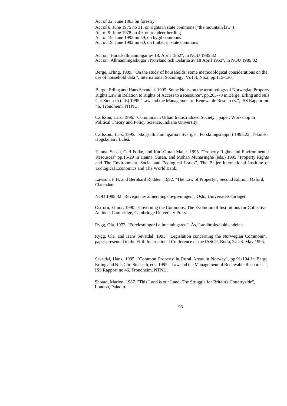Act of 22. June 1863 on forestry Act of 6. June 1975 no 31, on rights in state commons ("the mountain law") Act of 9. June 1978 no 49, on reindeer herding Act of 19. June 1992 no 59, on bygd commons Act of 19. June 1992 no 60, on timber in state commons

Act on "Häradsallmänningar av 18. April 1952", in NOU 1985:32 Act on "Allmänningsskogar i Norrland och Dalarna av 18 April 1952", in NOU 1985:32

Berge, Erling. 1989. "On the study of households: some methodological considerations on the use of household data ", International Sociology, Vo1.4, No.2, pp.115-130.

Berge, Erling and Hans Sevatdal. 1995. Some Notes on the terminology of Norwegian Property Rights Law in Relation to Rights of Access to a Resource", pp.265-70 in Berge, Erling and Nils Chr.Stenseth (eds) 1995 "Law and the Management of Renewable Resources.", ISS Rapport no 46, Trondheim, NTNU.

Carlsson, Lars. 1996. "Commons in Urban Industrialized Society", paper, Workshop in Political Theory and Policy Science, Indiana University,

Carlsson., Lars. 1995. "Skogsallmänningarna i Sverige", Forskningsrapport 1995:22, Tekniska Hogskolan i Luleå.

Hanna, Susan, Carl Folke, and Karl-Goran Maler. 1995. "Property Rights and Environmental Resources" pp.15-29 in Hanna, Susan, and Mohan Munasinghe (eds.) 1995 "Property Rights and The Environment. Social and Ecological Issues", The Beijer International Institute of Ecological Economics and The World Bank.

Lawson, F.H. and Bernhard Rudden. 1982. "The Law of Property", Second Edition, Oxford, Clarendon.

NOU 1985:32 "Revisjon av almenningslovgivningen", Oslo, Universitets-forlaget.

Ostrorn, Elinor. 1990. "Governing the Commons. The Evolution of Institutions for Collective Action", Cambridge, Cambridge University Press.

Rygg, Ola. 1972. "Forelesninger i allmenningsrett", Ås, Landbruks-bokhandelen.

Rygg, Ola, and Hans Sevatdal. 1995. "Legislation concerning the Norwegian Commons", paper presented to the Fifth International Conference of the lASCP, Bodø, 24-28. May 1995.

Sevatdal, Hans. 1995. "Common Property in Rural Areas in Norway", pp.91-104 in Berge, Erling and Nils Chr. Stenseth, eds. 1995. "Law and the Management of Renewable Resources.", ISS Rapport no 46, Trondheim, NTNU.

Shoard, Marion. 1987. "This Land is our Land. The Struggle for Britain's Countryside", London, Paladin.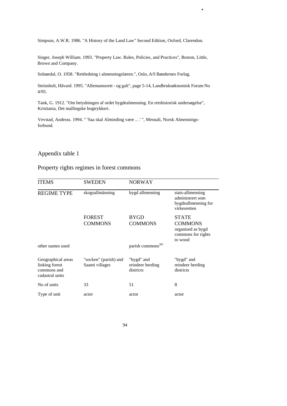Simpson, A.W.R. 1986. "A History of the Land Law" Second Edition, Oxford, Clarendon.

,

Singer, Joseph William. 1993. "Property Law. Rules, Policies, and Practices", Boston, Little, Brown and Company.

Solnørdal, O. 1958. "Rettledning i almenningslæren.", Oslo, *A/S* Bøndernes Forlag.

Steinsholt, Håvard. 1995. "Allemannsrett - og galt", page 5-14, Landbruksøknomisk Forum No 4/95.

Tank, G. 1912. "Om betydningen af ordet bygdealmenning. En retshistorisk undersøgelse", Kristiania, Det mallingske bogtrykkeri.

Vevstad, Andreas. 1994. " 'Saa skal Alminding være .. .' ", Mesnali, Norsk Almenningsforbund.

# Appendix table 1

# Property rights regimes in forest commons

| <b>ITEMS</b>                                                           | <b>SWEDEN</b>                           | <b>NORWAY</b>                               |                                                                             |
|------------------------------------------------------------------------|-----------------------------------------|---------------------------------------------|-----------------------------------------------------------------------------|
| <b>REGIME TYPE</b>                                                     | skogsallmänning                         | bygd allmenning                             | stats-allmenning<br>administrert som<br>bygdeallmenning for<br>virkesretten |
|                                                                        | <b>FOREST</b>                           | <b>BYGD</b>                                 | <b>STATE</b>                                                                |
|                                                                        | <b>COMMONS</b>                          | <b>COMMONS</b>                              | <b>COMMONS</b><br>organised as bygd<br>commons for rights<br>to wood        |
| other names used                                                       |                                         | parish commons <sup>30</sup>                |                                                                             |
| Geographical areas<br>linking forest<br>commons and<br>cadastral units | "socken" (parish) and<br>Saami villages | "bygd" and<br>reindeer herding<br>districts | "bygd" and<br>reindeer herding<br>districts                                 |
| No of units                                                            | 33                                      | 51                                          | 8                                                                           |
| Type of unit                                                           | actor                                   | actor                                       | actor                                                                       |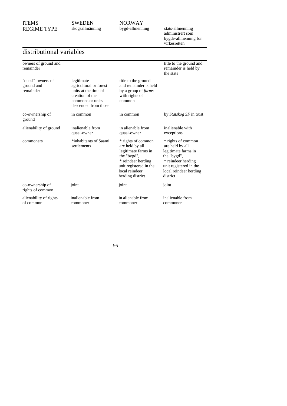SWEDEN skogsallmänning NORWAY<br>bygd-allmenning

bygd-allmenning stats-allmenning administrert som bygde-allmenning for virkesretten

# distributional variables

| owners of ground and<br>remainder            |                                                                                                                             |                                                                                                                                                                   | title to the ground and<br>remainder is held by<br>the state                                                                                                      |
|----------------------------------------------|-----------------------------------------------------------------------------------------------------------------------------|-------------------------------------------------------------------------------------------------------------------------------------------------------------------|-------------------------------------------------------------------------------------------------------------------------------------------------------------------|
| "quasi"-owners of<br>ground and<br>remainder | legitimate<br>agricultural or forest<br>units at the time of<br>creation of the<br>commons or units<br>descended from those | title to the ground<br>and remainder is held<br>by a group of <i>farms</i><br>with rights of<br>common                                                            |                                                                                                                                                                   |
| co-ownership of<br>ground                    | in common                                                                                                                   | in common                                                                                                                                                         | by <i>Statskog SF</i> in trust                                                                                                                                    |
| alienability of ground                       | inalienable from<br>quasi-owner                                                                                             | in alienable from<br>quasi-owner                                                                                                                                  | inalienable with<br>exceptions                                                                                                                                    |
| commoners                                    | *inhabitants of Saami<br>settlements                                                                                        | * rights of common<br>are held by all<br>legitimate farms in<br>the "bygd",<br>* reindeer herding<br>unit registered in the<br>local reindeer<br>herding district | * rights of common<br>are held by all<br>legitimate farms in<br>the "bygd",<br>* reindeer herding<br>unit registered in the<br>local reindeer herding<br>district |
| co-ownership of<br>rights of common          | joint                                                                                                                       | joint                                                                                                                                                             | joint                                                                                                                                                             |
| alienability of rights<br>of common          | inalienable from<br>commoner                                                                                                | in alienable from<br>commoner                                                                                                                                     | inalienable from<br>commoner                                                                                                                                      |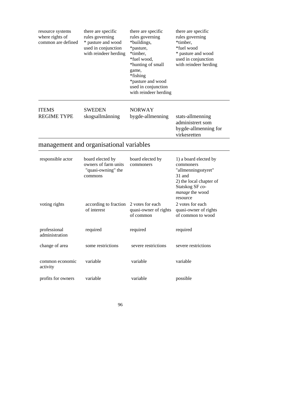| resource systems<br>where rights of<br>common are defined | there are specific<br>rules governing<br>* pasture and wood<br>used in conjunction<br>with reindeer herding | there are specific<br>rules governing<br>*buildings,<br>*pasture,<br>*timber,<br>*fuel wood,<br>*hunting of small<br>game,<br>*fishing<br>*pasture and wood<br>used in conjunction<br>with reindeer herding | there are specific<br>rules governing<br>*timber,<br>*fuel wood<br>* pasture and wood<br>used in conjunction<br>with reindeer herding |
|-----------------------------------------------------------|-------------------------------------------------------------------------------------------------------------|-------------------------------------------------------------------------------------------------------------------------------------------------------------------------------------------------------------|---------------------------------------------------------------------------------------------------------------------------------------|
| <b>ITEMS</b><br><b>REGIME TYPE</b>                        | <b>SWEDEN</b><br>skogsallmånning                                                                            | <b>NORWAY</b><br>bygde-allmenning                                                                                                                                                                           | stats-allmenning<br>administrert som<br>bygde-allmenning for<br>virkesretten                                                          |
|                                                           | management and organisational variables                                                                     |                                                                                                                                                                                                             |                                                                                                                                       |
| responsible actor                                         | board elected by<br>owners of farm units<br>"quasi-owning" the<br>commons                                   | board elected by<br>commoners                                                                                                                                                                               | 1) a board elected by<br>commoners<br>"allmenningsstyret"<br>31 and<br>2) the local chapter of<br>Statskog SF co-<br>manage the wood  |
| voting rights                                             | according to fraction<br>of interest                                                                        | 2 votes for each<br>quasi-owner of rights<br>of common                                                                                                                                                      | resource<br>2 votes for each<br>quasi-owner of rights<br>of common to wood                                                            |
| professional<br>administration                            | required                                                                                                    | required                                                                                                                                                                                                    | required                                                                                                                              |
| change of area                                            | some restrictions                                                                                           | severe restrictions                                                                                                                                                                                         | severe restrictions                                                                                                                   |
| common economic<br>activity                               | variable                                                                                                    | variable                                                                                                                                                                                                    | variable                                                                                                                              |
| profits for owners                                        | variable                                                                                                    | variable                                                                                                                                                                                                    | possible                                                                                                                              |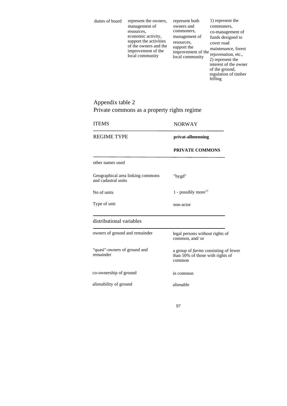| duties of board | represent the owners,<br>management of<br>resources,<br>economic activity,<br>support the activities<br>of the owners and the<br>improvement of the<br>local community | represent both<br>owners and<br>commoners,<br>management of<br>resources.<br>support the<br>improvement of the<br>local community | 1) represent the<br>commoners,<br>co-management of<br>funds designed to<br>cover road<br>maintenance, forest<br>rejuvenation, etc.,<br>2) represent the<br>interest of the owner<br>of the ground,<br>regulation of timber |
|-----------------|------------------------------------------------------------------------------------------------------------------------------------------------------------------------|-----------------------------------------------------------------------------------------------------------------------------------|----------------------------------------------------------------------------------------------------------------------------------------------------------------------------------------------------------------------------|
|                 |                                                                                                                                                                        |                                                                                                                                   | felling                                                                                                                                                                                                                    |

# Appendix table 2 Private commons as a property rights regime

| <b>NORWAY</b>                                                                             |
|-------------------------------------------------------------------------------------------|
| privat-allmenning                                                                         |
| PRIVATE COMMONS                                                                           |
|                                                                                           |
| "bygd"                                                                                    |
| 1 - possibly more <sup>32</sup>                                                           |
| non-actor                                                                                 |
|                                                                                           |
| legal persons without rights of<br>common, and/ or                                        |
| a group of <i>farms</i> consisting of fewer<br>than 50% of those with rights of<br>common |
| in common                                                                                 |
| alienable                                                                                 |
|                                                                                           |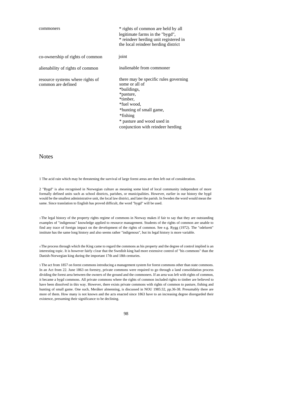| commoners                                              | * rights of common are held by all<br>legitimate farms in the "bygd",<br>* reindeer herding unit registered in<br>the local reindeer herding district                                                                    |
|--------------------------------------------------------|--------------------------------------------------------------------------------------------------------------------------------------------------------------------------------------------------------------------------|
| co-ownership of rights of common                       | joint                                                                                                                                                                                                                    |
| alienability of rights of common                       | inalienable from commoner                                                                                                                                                                                                |
| resource systems where rights of<br>common are defined | there may be specific rules governing<br>some or all of<br>*buildings,<br>*pasture,<br>*timber.<br>*fuel wood,<br>*hunting of small game,<br>*fishing<br>* pasture and wood used in<br>conjunction with reindeer herding |

#### Notes

1 The acid rain which may be threatening the survival of large forest areas are then left out of consideration.

2 "Bygd" is also recognised in Norwegian culture as meaning some kind of local community independent of more formally defined units such as school districts, parishes, or municipalities. However, earlier in our history the bygd would be the smallest administrative unit, the local law district, and later the parish. In Sweden the word would mean the same. Since translation to English has proved difficult, the word "bygd" will be used.

<sup>3</sup> The legal history of the property rights regime of commons in Norway makes if fair to say that they are outstanding examples of "indigenous" knowledge applied to resource management. Students of the rights of common are unable to find any trace of foreign impact on the development of the rights of common. See e.g. Rygg (1972). The "odelsrett" institute has the same long history and also seems rather "indigenous", but its legal history is more variable.

<sup>4</sup> The process through which the King came to regard the commons as his property and the degree of control implied is an interesting topic. It is however fairly c1ear that the Swedish king had more extensive control of "his commons" than the Danish-Norwegian king during the important 17th and 18th centuries.

5 The act from 1857 on forest commons introducing a management system for forest commons other than state commons. In an Act from 22. June 1863 on forestry, private commons were required to go through a land consolidation process dividing the forest area between the owners of the ground and the commoners. If an area was left with rights of common, it became a bygd commons. All private commons where the rights of common included rights to timber are believed to have been dissolved in this way. However, there exists private commons with rights of common to pasture, fishing and hunting of small game. One such, Meråker almenning, is discussed in NOU 1985:32, pp.36-38. Presumably there are more of them. How many is not known and the acts enacted since 1863 have to an increasing degree disregarded their existence, presuming their significance to be declining.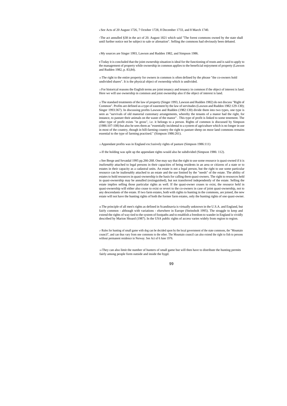<sup>6</sup> See Acts of 20 August 1726, 7 October 1728, 8 December 1733, and 8 March 1740.

7The act annulled §38 in the act of 20. August 1821 which said "The forest commons owned by the state shall until further notice not be subject to sale or alienation". Selling the commons had obviously been debated.

<sup>8</sup> My sources are Singer 1993, Lawson and Rudden 1982, and Simpson 1986.

9 Today it is concluded that the joint ownership situation is ideal for the functioning of trusts and is said to apply to the management of property while ownership in common applies to the beneficial enjoyment of property (Lawson and Rudden 1982, p. 83,84).

<sup>10</sup> The right to the entire property for owners in common is often defined by the phrase "the co-owners hold undivided shares". It is the physical object of ownership which is undivided.

11For historical reasons the English terms are joint tenancy and tenancy in common if the object of interest is land. Here we will use ownership in common and joint ownership also if the object of interest is land.

12The standard treatments of the law of property (Singer 1993, Lawson and Rudden 1982) do not discuss "Right of Common". Profits are defined as a type of easement by the law of servitudes (Lawson and Rudden 1982:129-130); Singer 1993:367). In discussing profits Lawson and Rudden (1982:130) divide them into two types, one type is seen as "survivals of old manorial customary arrangements, whereby the tenants of a manor had the right, for instance, to pasture their animals on the waste of the manor" . This type of profit is linked to some tenement. The other type of profit exists "in gross", i.e. it belongs to a person. Rights of common is discussed by Simpson (1986:107-108) but also he sees them as "essentially incidental to a system of agriculture which is no longer in use in most of the country, though in hill-farming country the right to pasture sheep on moor land commons remains essential to the type of farming practised." (Simpson 1986:261).

13 Appendant profits was in England exc1usively rights of pasture (Simpson 1986:111)

<sup>14</sup> If the holding was split up the appendant rights would also be subdivided (Simpson 1986: 112).

15See Berge and Sevatdal 1995 pp.266-268. One may say that the right to use some resource is quasi-owned if it is *inalienably* attached to legal persons in their capacities of being residents in an area or citizens of a state or to estates in their capacity as a cadastral units. An estate is not a legal person, but the right to use some particular resource can be inalienably attached to an estate and the use limited by the "needs" of the estate. The ability of estates to hold resources in quasi-ownership is the basis for calling them quasi-owners. The right to resources held in quasi-ownership may be annulled (extinguished), but not transferred independently of the estate. Selling the estate implies selling those particular rights as well. If the quasi-owner ceases to exist, the resource held in quasi-ownership will either also cease to exist or revert to the co-owners in case of joint quasi-ownership, not to any descendants of the estate. If two farm estates, both with rights to hunting in the commons, are joined, the new estate will not have the hunting rights of both the former farm estates, only the hunting rights of one quasi-owner.

<sup>16</sup> The principle of all men's rights as defined in Scandinavia is virtually unknown in the U.S.A. and England, but fairly common - although with variations - elsewhere in Europe (Steinsholt 1995). The struggle to keep and extend the rights of way tied to the system of footpaths and to establish a freedom to wander in England is vividly described by Marion Shoard (1987). In the USA public rights of access varies widely from region to region.

17 Rules for hunting of small game with dog can be decided upon by the local government of the state commons, the "Mountain council", and can thus vary from one commons to the other. The Mountain council can also extend the right to fish to persons without permanent residence in Norway. See Act of 6 June 1976.

<sup>18</sup> They can also limit the number of hunters of small game but will then have to distribute the hunting permits fairly among people form outside and inside the bygd.

0<sup>9</sup>